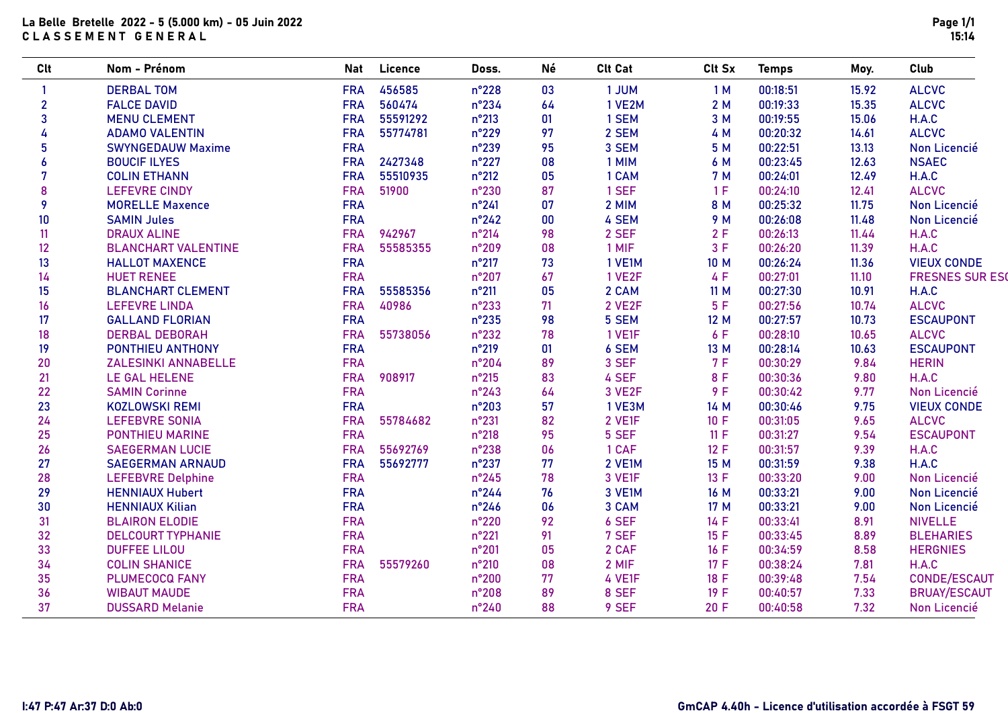## La Belle Bretelle 2022 - 5 (5.000 km) - 05 Juin 2022 CLASSEMENT GENERAL

| Clt            | Nom - Prénom               | <b>Nat</b> | Licence  | Doss.          | Νé | <b>Clt Cat</b> | Clt Sx | <b>Temps</b> | Moy.  | Club                   |
|----------------|----------------------------|------------|----------|----------------|----|----------------|--------|--------------|-------|------------------------|
|                | <b>DERBAL TOM</b>          | <b>FRA</b> | 456585   | n°228          | 03 | 1 JUM          | 1M     | 00:18:51     | 15.92 | <b>ALCVC</b>           |
| $\overline{2}$ | <b>FALCE DAVID</b>         | <b>FRA</b> | 560474   | n°234          | 64 | 1 VE2M         | 2M     | 00:19:33     | 15.35 | <b>ALCVC</b>           |
| 3              | <b>MENU CLEMENT</b>        | <b>FRA</b> | 55591292 | $n^{\circ}213$ | 01 | 1 SEM          | 3 M    | 00:19:55     | 15.06 | H.A.C                  |
| 4              | <b>ADAMO VALENTIN</b>      | <b>FRA</b> | 55774781 | n°229          | 97 | 2 SEM          | 4 M    | 00:20:32     | 14.61 | <b>ALCVC</b>           |
| 5              | <b>SWYNGEDAUW Maxime</b>   | <b>FRA</b> |          | n°239          | 95 | 3 SEM          | 5 M    | 00:22:51     | 13.13 | Non Licencié           |
| 6              | <b>BOUCIF ILYES</b>        | <b>FRA</b> | 2427348  | $n^{\circ}227$ | 08 | 1 MIM          | 6 M    | 00:23:45     | 12.63 | <b>NSAEC</b>           |
| 7              | <b>COLIN ETHANN</b>        | <b>FRA</b> | 55510935 | $n^{\circ}212$ | 05 | 1 CAM          | 7 M    | 00:24:01     | 12.49 | H.A.C                  |
| 8              | <b>LEFEVRE CINDY</b>       | <b>FRA</b> | 51900    | n°230          | 87 | 1 SEF          | 1F     | 00:24:10     | 12.41 | <b>ALCVC</b>           |
| 9              | <b>MORELLE Maxence</b>     | <b>FRA</b> |          | $n^{\circ}241$ | 07 | 2 MIM          | 8 M    | 00:25:32     | 11.75 | Non Licencié           |
| 10             | <b>SAMIN Jules</b>         | <b>FRA</b> |          | $n^{\circ}242$ | 00 | 4 SEM          | 9 M    | 00:26:08     | 11.48 | Non Licencié           |
| 11             | <b>DRAUX ALINE</b>         | <b>FRA</b> | 942967   | $n^{\circ}214$ | 98 | 2 SEF          | 2F     | 00:26:13     | 11.44 | H.A.C                  |
| 12             | <b>BLANCHART VALENTINE</b> | <b>FRA</b> | 55585355 | $n^{\circ}209$ | 08 | 1 MIF          | 3F     | 00:26:20     | 11.39 | H.A.C                  |
| 13             | <b>HALLOT MAXENCE</b>      | <b>FRA</b> |          | n°217          | 73 | 1 VE1M         | 10 M   | 00:26:24     | 11.36 | <b>VIEUX CONDE</b>     |
| 14             | <b>HUET RENEE</b>          | <b>FRA</b> |          | n°207          | 67 | 1 VE2F         | 4 F    | 00:27:01     | 11.10 | <b>FRESNES SUR ESC</b> |
| 15             | <b>BLANCHART CLEMENT</b>   | <b>FRA</b> | 55585356 | $n^{\circ}211$ | 05 | 2 CAM          | 11 M   | 00:27:30     | 10.91 | H.A.C                  |
| 16             | <b>LEFEVRE LINDA</b>       | <b>FRA</b> | 40986    | n°233          | 71 | 2 VE2F         | 5F     | 00:27:56     | 10.74 | <b>ALCVC</b>           |
| 17             | <b>GALLAND FLORIAN</b>     | <b>FRA</b> |          | $n^{\circ}235$ | 98 | 5 SEM          | 12 M   | 00:27:57     | 10.73 | <b>ESCAUPONT</b>       |
| 18             | <b>DERBAL DEBORAH</b>      | <b>FRA</b> | 55738056 | n°232          | 78 | 1 VE1F         | 6 F    | 00:28:10     | 10.65 | <b>ALCVC</b>           |
| 19             | PONTHIEU ANTHONY           | <b>FRA</b> |          | $n^{\circ}219$ | 01 | 6 SEM          | 13 M   | 00:28:14     | 10.63 | <b>ESCAUPONT</b>       |
| 20             | <b>ZALESINKI ANNABELLE</b> | <b>FRA</b> |          | n°204          | 89 | 3 SEF          | 7 F    | 00:30:29     | 9.84  | <b>HERIN</b>           |
| 21             | <b>LE GAL HELENE</b>       | <b>FRA</b> | 908917   | $n^{\circ}215$ | 83 | 4 SEF          | 8 F    | 00:30:36     | 9.80  | H.A.C                  |
| 22             | <b>SAMIN Corinne</b>       | <b>FRA</b> |          | $n^{\circ}243$ | 64 | 3 VE2F         | 9F     | 00:30:42     | 9.77  | Non Licencié           |
| 23             | <b>KOZLOWSKI REMI</b>      | <b>FRA</b> |          | n°203          | 57 | 1 VE3M         | 14 M   | 00:30:46     | 9.75  | <b>VIEUX CONDE</b>     |
| 24             | <b>LEFEBVRE SONIA</b>      | <b>FRA</b> | 55784682 | n°231          | 82 | 2 VE1F         | 10 F   | 00:31:05     | 9.65  | <b>ALCVC</b>           |
| 25             | PONTHIEU MARINE            | <b>FRA</b> |          | $n^{\circ}218$ | 95 | 5 SEF          | 11 F   | 00:31:27     | 9.54  | <b>ESCAUPONT</b>       |
| 26             | <b>SAEGERMAN LUCIE</b>     | <b>FRA</b> | 55692769 | n°238          | 06 | 1 CAF          | 12 F   | 00:31:57     | 9.39  | H.A.C                  |
| 27             | <b>SAEGERMAN ARNAUD</b>    | <b>FRA</b> | 55692777 | n°237          | 77 | 2 VE1M         | 15 M   | 00:31:59     | 9.38  | H.A.C                  |
| 28             | <b>LEFEBVRE Delphine</b>   | <b>FRA</b> |          | $n^{\circ}245$ | 78 | 3 VE1F         | 13 F   | 00:33:20     | 9.00  | Non Licencié           |
| 29             | <b>HENNIAUX Hubert</b>     | <b>FRA</b> |          | $n^{\circ}244$ | 76 | 3 VE1M         | 16 M   | 00:33:21     | 9.00  | Non Licencié           |
| 30             | <b>HENNIAUX Kilian</b>     | <b>FRA</b> |          | $n^{\circ}246$ | 06 | 3 CAM          | 17 M   | 00:33:21     | 9.00  | Non Licencié           |
| 31             | <b>BLAIRON ELODIE</b>      | <b>FRA</b> |          | $n^{\circ}220$ | 92 | 6 SEF          | 14 F   | 00:33:41     | 8.91  | <b>NIVELLE</b>         |
| 32             | <b>DELCOURT TYPHANIE</b>   | <b>FRA</b> |          | n°221          | 91 | 7 SEF          | 15 F   | 00:33:45     | 8.89  | <b>BLEHARIES</b>       |
| 33             | <b>DUFFEE LILOU</b>        | <b>FRA</b> |          | n°201          | 05 | 2 CAF          | 16 F   | 00:34:59     | 8.58  | <b>HERGNIES</b>        |
| 34             | <b>COLIN SHANICE</b>       | <b>FRA</b> | 55579260 | $n^{\circ}210$ | 08 | 2 MIF          | 17 F   | 00:38:24     | 7.81  | H.A.C                  |
| 35             | <b>PLUMECOCQ FANY</b>      | <b>FRA</b> |          | $n^{\circ}200$ | 77 | 4 VE1F         | 18 F   | 00:39:48     | 7.54  | <b>CONDE/ESCAUT</b>    |
| 36             | <b>WIBAUT MAUDE</b>        | <b>FRA</b> |          | n°208          | 89 | 8 SEF          | 19 F   | 00:40:57     | 7.33  | <b>BRUAY/ESCAUT</b>    |
| 37             | <b>DUSSARD Melanie</b>     | <b>FRA</b> |          | $n^{\circ}240$ | 88 | 9 SEF          | 20 F   | 00:40:58     | 7.32  | Non Licencié           |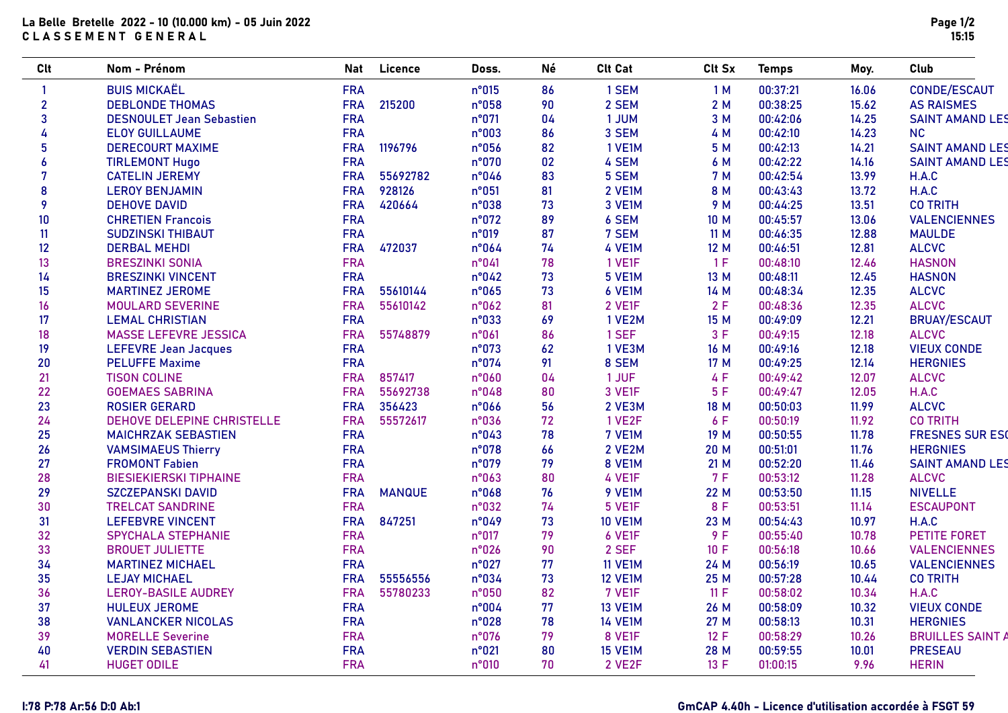## La Belle Bretelle 2022 - 10 (10.000 km) - 05 Juin 2022 CLASSEMENT GENERAL

| <b>Clt</b>       | Nom - Prénom                    | Nat        | Licence       | Doss. | Né | <b>Clt Cat</b> | Clt Sx      | <b>Temps</b> | Moy.  | Club                    |
|------------------|---------------------------------|------------|---------------|-------|----|----------------|-------------|--------------|-------|-------------------------|
|                  | <b>BUIS MICKAËL</b>             | <b>FRA</b> |               | n°015 | 86 | 1 SEM          | 1 M         | 00:37:21     | 16.06 | <b>CONDE/ESCAUT</b>     |
| $\overline{2}$   | <b>DEBLONDE THOMAS</b>          | <b>FRA</b> | 215200        | n°058 | 90 | 2 SEM          | 2M          | 00:38:25     | 15.62 | <b>AS RAISMES</b>       |
| 3                | <b>DESNOULET Jean Sebastien</b> | <b>FRA</b> |               | n°071 | 04 | 1 JUM          | 3 M         | 00:42:06     | 14.25 | <b>SAINT AMAND LES</b>  |
| 4                | <b>ELOY GUILLAUME</b>           | <b>FRA</b> |               | n°003 | 86 | 3 SEM          | 4 M         | 00:42:10     | 14.23 | <b>NC</b>               |
| 5                | <b>DERECOURT MAXIME</b>         | <b>FRA</b> | 1196796       | n°056 | 82 | 1 VE1M         | 5 M         | 00:42:13     | 14.21 | <b>SAINT AMAND LES</b>  |
| $\boldsymbol{6}$ | <b>TIRLEMONT Hugo</b>           | <b>FRA</b> |               | n°070 | 02 | 4 SEM          | 6 M         | 00:42:22     | 14.16 | <b>SAINT AMAND LES</b>  |
| 7                | <b>CATELIN JEREMY</b>           | <b>FRA</b> | 55692782      | n°046 | 83 | 5 SEM          | 7 M         | 00:42:54     | 13.99 | H.A.C                   |
| 8                | <b>LEROY BENJAMIN</b>           | <b>FRA</b> | 928126        | n°051 | 81 | 2 VE1M         | 8 M         | 00:43:43     | 13.72 | H.A.C                   |
| 9                | <b>DEHOVE DAVID</b>             | <b>FRA</b> | 420664        | n°038 | 73 | 3 VE1M         | 9 M         | 00:44:25     | 13.51 | <b>CO TRITH</b>         |
| 10               | <b>CHRETIEN Francois</b>        | <b>FRA</b> |               | n°072 | 89 | 6 SEM          | 10 M        | 00:45:57     | 13.06 | <b>VALENCIENNES</b>     |
| 11               | <b>SUDZINSKI THIBAUT</b>        | <b>FRA</b> |               | n°019 | 87 | 7 SEM          | 11 M        | 00:46:35     | 12.88 | <b>MAULDE</b>           |
| 12               | <b>DERBAL MEHDI</b>             | <b>FRA</b> | 472037        | n°064 | 74 | 4 VE1M         | 12 M        | 00:46:51     | 12.81 | <b>ALCVC</b>            |
| 13               | <b>BRESZINKI SONIA</b>          | <b>FRA</b> |               | n°041 | 78 | 1 VE1F         | 1F          | 00:48:10     | 12.46 | <b>HASNON</b>           |
| 14               | <b>BRESZINKI VINCENT</b>        | <b>FRA</b> |               | n°042 | 73 | 5 VE1M         | 13 M        | 00:48:11     | 12.45 | <b>HASNON</b>           |
| 15               | <b>MARTINEZ JEROME</b>          | <b>FRA</b> | 55610144      | n°065 | 73 | 6 VE1M         | 14 M        | 00:48:34     | 12.35 | <b>ALCVC</b>            |
| 16               | <b>MOULARD SEVERINE</b>         | <b>FRA</b> | 55610142      | n°062 | 81 | 2 VE1F         | 2F          | 00:48:36     | 12.35 | <b>ALCVC</b>            |
| 17               | <b>LEMAL CHRISTIAN</b>          | <b>FRA</b> |               | n°033 | 69 | 1 VE2M         | 15 M        | 00:49:09     | 12.21 | <b>BRUAY/ESCAUT</b>     |
| 18               | <b>MASSE LEFEVRE JESSICA</b>    | <b>FRA</b> | 55748879      | n°061 | 86 | 1 SEF          | 3F          | 00:49:15     | 12.18 | <b>ALCVC</b>            |
| 19               | <b>LEFEVRE Jean Jacques</b>     | <b>FRA</b> |               | n°073 | 62 | 1 VE3M         | 16 M        | 00:49:16     | 12.18 | <b>VIEUX CONDE</b>      |
| 20               | <b>PELUFFE Maxime</b>           | <b>FRA</b> |               | n°074 | 91 | 8 SEM          | 17 M        | 00:49:25     | 12.14 | <b>HERGNIES</b>         |
| 21               | <b>TISON COLINE</b>             | <b>FRA</b> | 857417        | n°060 | 04 | 1 JUF          | 4 F         | 00:49:42     | 12.07 | <b>ALCVC</b>            |
| 22               | <b>GOEMAES SABRINA</b>          | <b>FRA</b> | 55692738      | n°048 | 80 | 3 VE1F         | 5F          | 00:49:47     | 12.05 | H.A.C                   |
| 23               | <b>ROSIER GERARD</b>            | <b>FRA</b> | 356423        | n°066 | 56 | 2 VE3M         | 18 M        | 00:50:03     | 11.99 | <b>ALCVC</b>            |
| 24               | DEHOVE DELEPINE CHRISTELLE      | <b>FRA</b> | 55572617      | n°036 | 72 | <b>1 VE2F</b>  | 6 F         | 00:50:19     | 11.92 | <b>CO TRITH</b>         |
| 25               | <b>MAICHRZAK SEBASTIEN</b>      | <b>FRA</b> |               | n°043 | 78 | 7 VE1M         | 19 M        | 00:50:55     | 11.78 | <b>FRESNES SUR ESC</b>  |
| 26               | <b>VAMSIMAEUS Thierry</b>       | <b>FRA</b> |               | n°078 | 66 | 2 VE2M         | <b>20 M</b> | 00:51:01     | 11.76 | <b>HERGNIES</b>         |
| 27               | <b>FROMONT Fabien</b>           | <b>FRA</b> |               | n°079 | 79 | 8 VE1M         | 21 M        | 00:52:20     | 11.46 | <b>SAINT AMAND LES</b>  |
| 28               | <b>BIESIEKIERSKI TIPHAINE</b>   | <b>FRA</b> |               | n°063 | 80 | 4 VE1F         | 7 F         | 00:53:12     | 11.28 | <b>ALCVC</b>            |
| 29               | <b>SZCZEPANSKI DAVID</b>        | <b>FRA</b> | <b>MANQUE</b> | n°068 | 76 | 9 VE1M         | <b>22 M</b> | 00:53:50     | 11.15 | <b>NIVELLE</b>          |
| 30               | <b>TRELCAT SANDRINE</b>         | <b>FRA</b> |               | n°032 | 74 | 5 VE1F         | 8 F         | 00:53:51     | 11.14 | <b>ESCAUPONT</b>        |
| 31               | <b>LEFEBVRE VINCENT</b>         | <b>FRA</b> | 847251        | n°049 | 73 | <b>10 VE1M</b> | 23 M        | 00:54:43     | 10.97 | H.A.C                   |
| 32               | <b>SPYCHALA STEPHANIE</b>       | <b>FRA</b> |               | n°017 | 79 | 6 VE1F         | 9F          | 00:55:40     | 10.78 | PETITE FORET            |
| 33               | <b>BROUET JULIETTE</b>          | <b>FRA</b> |               | n°026 | 90 | 2 SEF          | 10 F        | 00:56:18     | 10.66 | <b>VALENCIENNES</b>     |
| 34               | <b>MARTINEZ MICHAEL</b>         | <b>FRA</b> |               | n°027 | 77 | <b>11 VE1M</b> | 24 M        | 00:56:19     | 10.65 | <b>VALENCIENNES</b>     |
| 35               | <b>LEJAY MICHAEL</b>            | <b>FRA</b> | 55556556      | n°034 | 73 | <b>12 VE1M</b> | 25 M        | 00:57:28     | 10.44 | <b>CO TRITH</b>         |
| 36               | <b>LEROY-BASILE AUDREY</b>      | <b>FRA</b> | 55780233      | n°050 | 82 | 7 VE1F         | 11 F        | 00:58:02     | 10.34 | H.A.C                   |
| 37               | <b>HULEUX JEROME</b>            | <b>FRA</b> |               | n°004 | 77 | <b>13 VE1M</b> | 26 M        | 00:58:09     | 10.32 | <b>VIEUX CONDE</b>      |
| 38               | <b>VANLANCKER NICOLAS</b>       | <b>FRA</b> |               | n°028 | 78 | <b>14 VE1M</b> | 27 M        | 00:58:13     | 10.31 | <b>HERGNIES</b>         |
| 39               | <b>MORELLE Severine</b>         | <b>FRA</b> |               | n°076 | 79 | 8 VE1F         | 12 F        | 00:58:29     | 10.26 | <b>BRUILLES SAINT A</b> |
| 40               | <b>VERDIN SEBASTIEN</b>         | <b>FRA</b> |               | n°021 | 80 | <b>15 VE1M</b> | 28 M        | 00:59:55     | 10.01 | <b>PRESEAU</b>          |
| 41               | <b>HUGET ODILE</b>              | <b>FRA</b> |               | n°010 | 70 | 2 VE2F         | 13 F        | 01:00:15     | 9.96  | <b>HERIN</b>            |